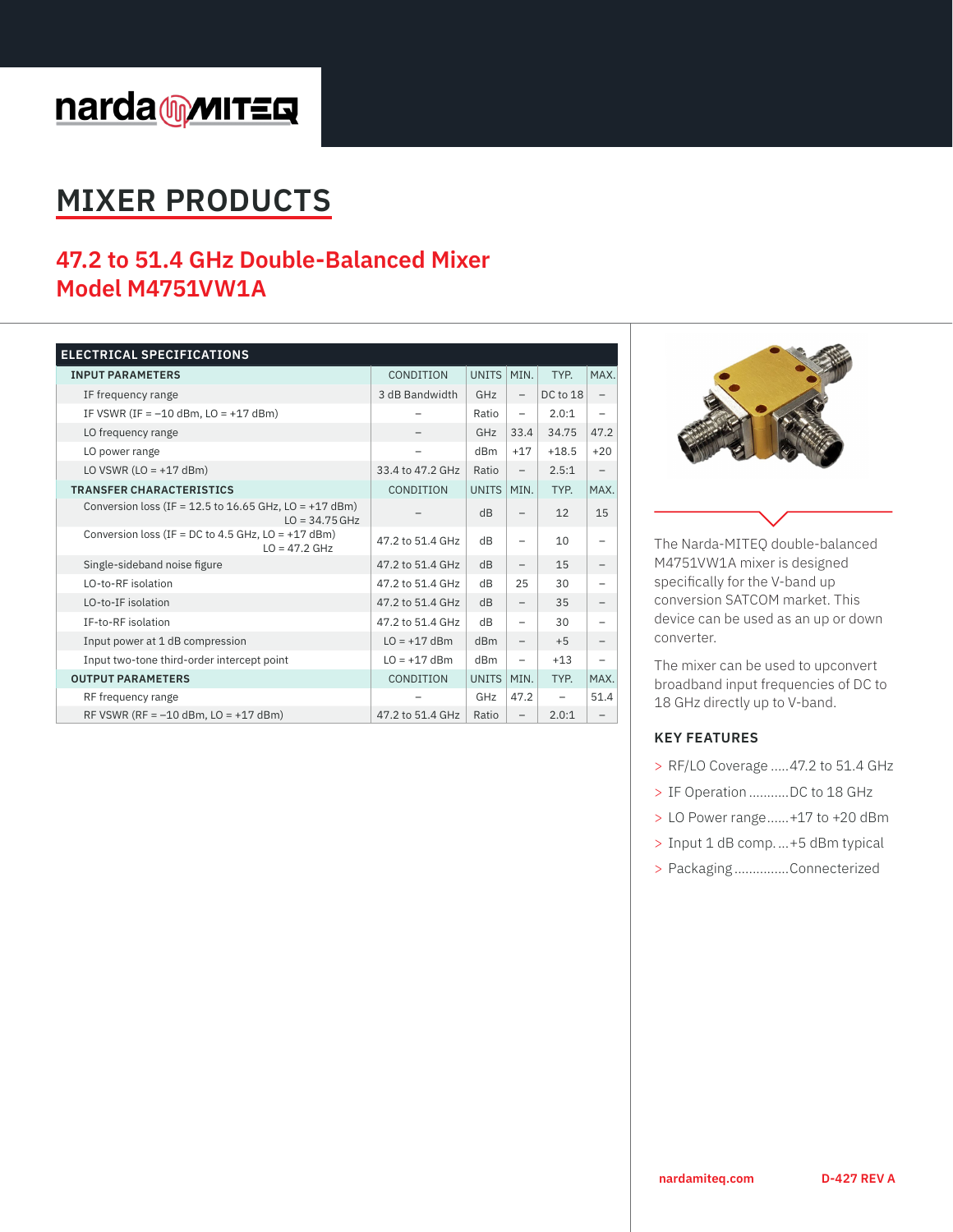# narda multers

# **MIXER PRODUCTS**

# **47.2 to 51.4 GHz Double-Balanced Mixer Model M4751VW1A**

| <b>ELECTRICAL SPECIFICATIONS</b>                                             |                  |                 |                          |                          |       |
|------------------------------------------------------------------------------|------------------|-----------------|--------------------------|--------------------------|-------|
| <b>INPUT PARAMETERS</b>                                                      | CONDITION        | <b>UNITS</b>    | MIN.                     | TYP.                     | MAX.  |
| IF frequency range                                                           | 3 dB Bandwidth   | GHz             | $\qquad \qquad -$        | DC to 18                 |       |
| IF VSWR (IF = $-10$ dBm, LO = $+17$ dBm)                                     |                  | Ratio           | $\overline{\phantom{0}}$ | 2.0:1                    |       |
| LO frequency range                                                           |                  | GHz             | 33.4                     | 34.75                    | 47.2  |
| LO power range                                                               |                  | dB <sub>m</sub> | $+17$                    | $+18.5$                  | $+20$ |
| LO VSWR $(LO = +17$ dBm)                                                     | 33.4 to 47.2 GHz | Ratio           | $\overline{\phantom{0}}$ | 2.5:1                    |       |
| <b>TRANSFER CHARACTERISTICS</b>                                              | CONDITION        | <b>UNITS</b>    | MIN.                     | TYP.                     | MAX.  |
| Conversion loss (IF = 12.5 to 16.65 GHz, $LO = +17$ dBm)<br>$LO = 34.75 GHz$ |                  | dB              | $\overline{\phantom{0}}$ | 12                       | 15    |
| Conversion loss (IF = DC to 4.5 GHz, $LO = +17$ dBm)<br>$LO = 47.2$ GHz      | 47.2 to 51.4 GHz | dB              |                          | 10                       |       |
| Single-sideband noise figure                                                 | 47.2 to 51.4 GHz | dB              | $\qquad \qquad -$        | 15                       |       |
| LO-to-RF isolation                                                           | 47.2 to 51.4 GHz | dB              | 25                       | 30                       |       |
| LO-to-IF isolation                                                           | 47.2 to 51.4 GHz | dB              | $\overline{\phantom{0}}$ | 35                       |       |
| IF-to-RF isolation                                                           | 47.2 to 51.4 GHz | dB              |                          | 30                       |       |
| Input power at 1 dB compression                                              | $LO = +17$ dBm   | dBm             | $\qquad \qquad -$        | $+5$                     |       |
| Input two-tone third-order intercept point                                   | $LO = +17$ dBm   | dBm             | $\qquad \qquad -$        | $+13$                    |       |
| <b>OUTPUT PARAMETERS</b>                                                     | CONDITION        | <b>UNITS</b>    | MIN.                     | TYP.                     | MAX.  |
| RF frequency range                                                           |                  | GHz             | 47.2                     | $\overline{\phantom{0}}$ | 51.4  |
| RF VSWR (RF = $-10$ dBm, LO = $+17$ dBm)                                     | 47.2 to 51.4 GHz | Ratio           | $\overline{\phantom{0}}$ | 2.0:1                    |       |



The Narda-MITEQ double-balanced M4751VW1A mixer is designed specifically for the V-band up conversion SATCOM market. This device can be used as an up or down converter.

The mixer can be used to upconvert broadband input frequencies of DC to 18 GHz directly up to V-band.

## **KEY FEATURES**

- > RF/LO Coverage .....47.2 to 51.4 GHz
- > IF Operation ...........DC to 18 GHz
- > LO Power range......+17 to +20 dBm
- > Input 1 dB comp....+5 dBm typical
- > Packaging ...............Connecterized